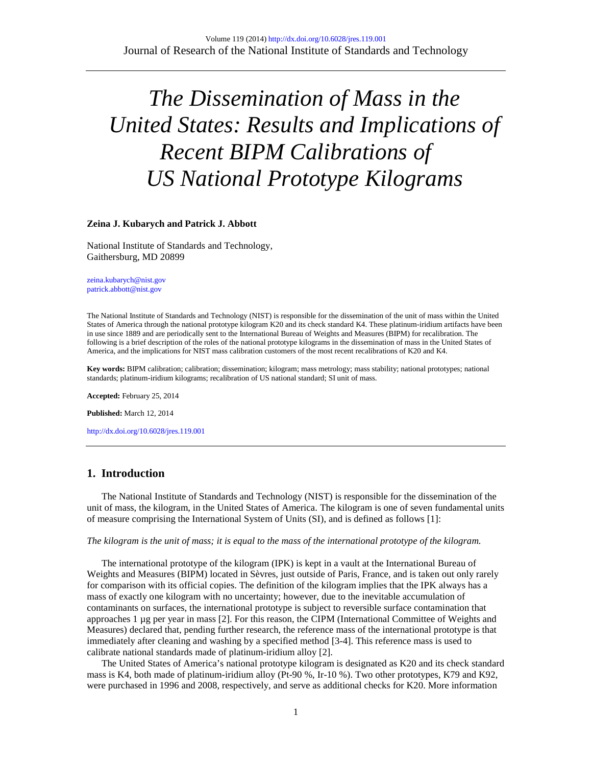# *The Dissemination of Mass in the United States: Results and Implications of Recent BIPM Calibrations of US National Prototype Kilograms*

### **Zeina J. Kubarych and Patrick J. Abbott**

National Institute of Standards and Technology, Gaithersburg, MD 20899

[zeina.kubarych@nist.gov](mailto:zeina.kubarych@nist.gov) [patrick.abbott@nist.gov](mailto:patrick.abbott@nist.gov)

The National Institute of Standards and Technology (NIST) is responsible for the dissemination of the unit of mass within the United States of America through the national prototype kilogram K20 and its check standard K4. These platinum-iridium artifacts have been in use since 1889 and are periodically sent to the International Bureau of Weights and Measures (BIPM) for recalibration. The following is a brief description of the roles of the national prototype kilograms in the dissemination of mass in the United States of America, and the implications for NIST mass calibration customers of the most recent recalibrations of K20 and K4.

**Key words:** BIPM calibration; calibration; dissemination; kilogram; mass metrology; mass stability; national prototypes; national standards; platinum-iridium kilograms; recalibration of US national standard; SI unit of mass.

**Accepted:** February 25, 2014

**Published:** March 12, 2014

<http://dx.doi.org/10.6028/jres.119.001>

# **1. Introduction**

 The National Institute of Standards and Technology (NIST) is responsible for the dissemination of the unit of mass, the kilogram, in the United States of America. The kilogram is one of seven fundamental units of measure comprising the International System of Units (SI), and is defined as follows [1]:

#### *The kilogram is the unit of mass; it is equal to the mass of the international prototype of the kilogram.*

 The international prototype of the kilogram (IPK) is kept in a vault at the International Bureau of Weights and Measures (BIPM) located in Sèvres, just outside of Paris, France, and is taken out only rarely for comparison with its official copies. The definition of the kilogram implies that the IPK always has a mass of exactly one kilogram with no uncertainty; however, due to the inevitable accumulation of contaminants on surfaces, the international prototype is subject to reversible surface contamination that approaches 1 µg per year in mass [2]. For this reason, the CIPM (International Committee of Weights and Measures) declared that, pending further research, the reference mass of the international prototype is that immediately after cleaning and washing by a specified method [3-4]. This reference mass is used to calibrate national standards made of platinum-iridium alloy [2].

 The United States of America's national prototype kilogram is designated as K20 and its check standard mass is K4, both made of platinum-iridium alloy (Pt-90 %, Ir-10 %). Two other prototypes, K79 and K92, were purchased in 1996 and 2008, respectively, and serve as additional checks for K20. More information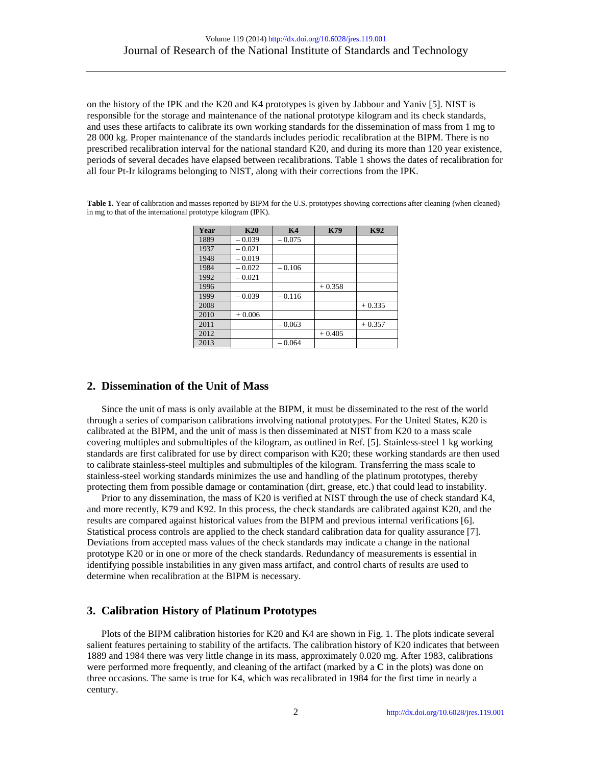on the history of the IPK and the K20 and K4 prototypes is given by Jabbour and Yaniv [5]. NIST is responsible for the storage and maintenance of the national prototype kilogram and its check standards, and uses these artifacts to calibrate its own working standards for the dissemination of mass from 1 mg to 28 000 kg. Proper maintenance of the standards includes periodic recalibration at the BIPM. There is no prescribed recalibration interval for the national standard K20, and during its more than 120 year existence, periods of several decades have elapsed between recalibrations. Table 1 shows the dates of recalibration for all four Pt-Ir kilograms belonging to NIST, along with their corrections from the IPK.

Table 1. Year of calibration and masses reported by BIPM for the U.S. prototypes showing corrections after cleaning (when cleaned) in mg to that of the international prototype kilogram (IPK).

| Year | K20      | <b>K4</b> | <b>K79</b> | <b>K92</b> |
|------|----------|-----------|------------|------------|
| 1889 | $-0.039$ | $-0.075$  |            |            |
| 1937 | $-0.021$ |           |            |            |
| 1948 | $-0.019$ |           |            |            |
| 1984 | $-0.022$ | $-0.106$  |            |            |
| 1992 | $-0.021$ |           |            |            |
| 1996 |          |           | $+0.358$   |            |
| 1999 | $-0.039$ | $-0.116$  |            |            |
| 2008 |          |           |            | $+0.335$   |
| 2010 | $+0.006$ |           |            |            |
| 2011 |          | $-0.063$  |            | $+0.357$   |
| 2012 |          |           | $+0.405$   |            |
| 2013 |          | $-0.064$  |            |            |

# **2. Dissemination of the Unit of Mass**

 Since the unit of mass is only available at the BIPM, it must be disseminated to the rest of the world through a series of comparison calibrations involving national prototypes. For the United States, K20 is calibrated at the BIPM, and the unit of mass is then disseminated at NIST from K20 to a mass scale covering multiples and submultiples of the kilogram, as outlined in Ref. [5]. Stainless-steel 1 kg working standards are first calibrated for use by direct comparison with K20; these working standards are then used to calibrate stainless-steel multiples and submultiples of the kilogram. Transferring the mass scale to stainless-steel working standards minimizes the use and handling of the platinum prototypes, thereby protecting them from possible damage or contamination (dirt, grease, etc.) that could lead to instability.

 Prior to any dissemination, the mass of K20 is verified at NIST through the use of check standard K4, and more recently, K79 and K92. In this process, the check standards are calibrated against K20, and the results are compared against historical values from the BIPM and previous internal verifications [6]. Statistical process controls are applied to the check standard calibration data for quality assurance [7]. Deviations from accepted mass values of the check standards may indicate a change in the national prototype K20 or in one or more of the check standards. Redundancy of measurements is essential in identifying possible instabilities in any given mass artifact, and control charts of results are used to determine when recalibration at the BIPM is necessary.

# **3. Calibration History of Platinum Prototypes**

 Plots of the BIPM calibration histories for K20 and K4 are shown in Fig. 1. The plots indicate several salient features pertaining to stability of the artifacts. The calibration history of K20 indicates that between 1889 and 1984 there was very little change in its mass, approximately 0.020 mg. After 1983, calibrations were performed more frequently, and cleaning of the artifact (marked by a **C** in the plots) was done on three occasions. The same is true for K4, which was recalibrated in 1984 for the first time in nearly a century.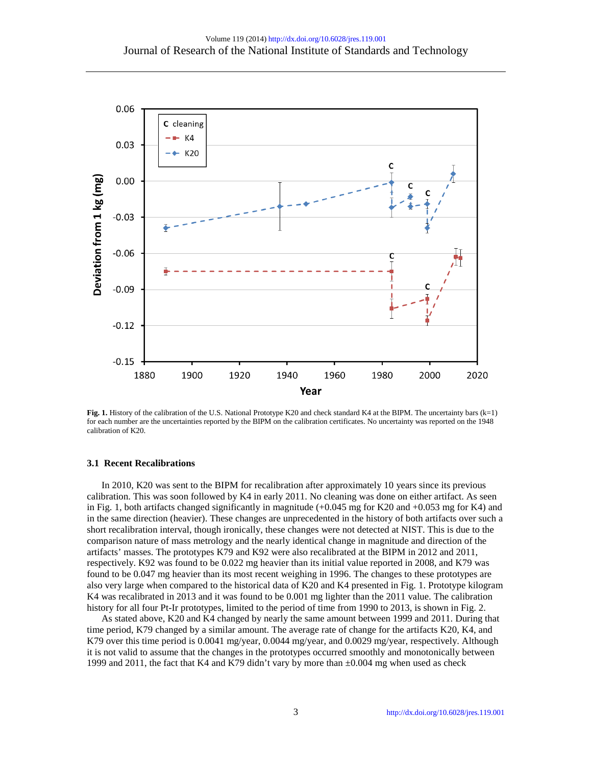

**Fig. 1.** History of the calibration of the U.S. National Prototype K20 and check standard K4 at the BIPM. The uncertainty bars (k=1) for each number are the uncertainties reported by the BIPM on the calibration certificates. No uncertainty was reported on the 1948 calibration of K20.

## **3.1 Recent Recalibrations**

 In 2010, K20 was sent to the BIPM for recalibration after approximately 10 years since its previous calibration. This was soon followed by K4 in early 2011. No cleaning was done on either artifact. As seen in Fig. 1, both artifacts changed significantly in magnitude (+0.045 mg for K20 and +0.053 mg for K4) and in the same direction (heavier). These changes are unprecedented in the history of both artifacts over such a short recalibration interval, though ironically, these changes were not detected at NIST. This is due to the comparison nature of mass metrology and the nearly identical change in magnitude and direction of the artifacts' masses. The prototypes K79 and K92 were also recalibrated at the BIPM in 2012 and 2011, respectively. K92 was found to be 0.022 mg heavier than its initial value reported in 2008, and K79 was found to be 0.047 mg heavier than its most recent weighing in 1996. The changes to these prototypes are also very large when compared to the historical data of K20 and K4 presented in Fig. 1. Prototype kilogram K4 was recalibrated in 2013 and it was found to be 0.001 mg lighter than the 2011 value. The calibration history for all four Pt-Ir prototypes, limited to the period of time from 1990 to 2013, is shown in Fig. 2.

 As stated above, K20 and K4 changed by nearly the same amount between 1999 and 2011. During that time period, K79 changed by a similar amount. The average rate of change for the artifacts K20, K4, and K79 over this time period is 0.0041 mg/year, 0.0044 mg/year, and 0.0029 mg/year, respectively. Although it is not valid to assume that the changes in the prototypes occurred smoothly and monotonically between 1999 and 2011, the fact that K4 and K79 didn't vary by more than  $\pm 0.004$  mg when used as check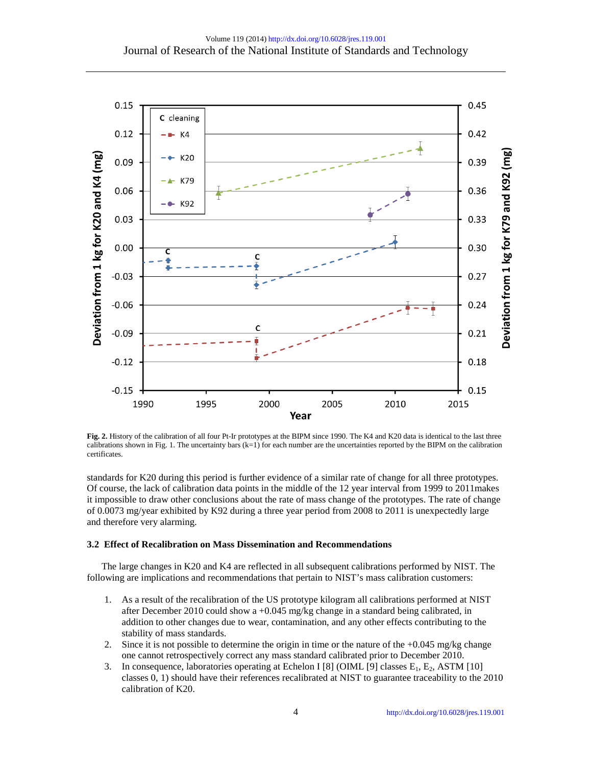

**Fig. 2.** History of the calibration of all four Pt-Ir prototypes at the BIPM since 1990. The K4 and K20 data is identical to the last three calibrations shown in Fig. 1. The uncertainty bars  $(k=1)$  for each number are the uncertainties reported by the BIPM on the calibration certificates.

standards for K20 during this period is further evidence of a similar rate of change for all three prototypes. Of course, the lack of calibration data points in the middle of the 12 year interval from 1999 to 2011makes it impossible to draw other conclusions about the rate of mass change of the prototypes. The rate of change of 0.0073 mg/year exhibited by K92 during a three year period from 2008 to 2011 is unexpectedly large and therefore very alarming.

## **3.2 Effect of Recalibration on Mass Dissemination and Recommendations**

 The large changes in K20 and K4 are reflected in all subsequent calibrations performed by NIST. The following are implications and recommendations that pertain to NIST's mass calibration customers:

- 1. As a result of the recalibration of the US prototype kilogram all calibrations performed at NIST after December 2010 could show a +0.045 mg/kg change in a standard being calibrated, in addition to other changes due to wear, contamination, and any other effects contributing to the stability of mass standards.
- 2. Since it is not possible to determine the origin in time or the nature of the  $+0.045$  mg/kg change one cannot retrospectively correct any mass standard calibrated prior to December 2010.
- 3. In consequence, laboratories operating at Echelon I [8] (OIML [9] classes  $E_1$ ,  $E_2$ , ASTM [10] classes 0, 1) should have their references recalibrated at NIST to guarantee traceability to the 2010 calibration of K20.